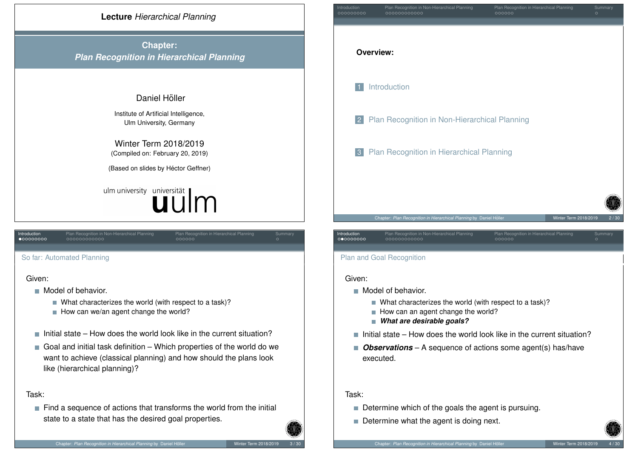

<span id="page-0-0"></span>[So](#page-2-0) far: [Au](#page-2-0)[tom](#page-3-0)[ate](#page-4-0)[d P](#page-5-0)lanning Given:

- $\blacksquare$  Model of behavior.
	- What characterizes the world (with respect to a task)?
	- $\blacksquare$  How can we/an agent change the world?
- $\blacksquare$  Initial state How does the world look like in the current situation?
- Goal and initial task definition Which properties of the world do we [want to achieve \(classical planning\) and h](#page-2-0)ow should the plans look like (hierarchical planning)?

## Task:

 $\blacksquare$  Find a sequence of actions that transforms the world from the initial state to a state that has the desired goal properties.

| Introduction<br>000000000 | Plan Recognition in Non-Hierarchical Planning<br>00000000000        | Plan Recognition in Hierarchical Planning<br>000000 | Summary<br>$\circ$ |
|---------------------------|---------------------------------------------------------------------|-----------------------------------------------------|--------------------|
|                           | <b>Overview:</b>                                                    |                                                     |                    |
| $\overline{1}$            | Introduction                                                        |                                                     |                    |
| $\vert$ 2                 | Plan Recognition in Non-Hierarchical Planning                       |                                                     |                    |
| 3 <sup>°</sup>            | Plan Recognition in Hierarchical Planning                           |                                                     |                    |
|                           |                                                                     |                                                     |                    |
|                           | Chapter: Plan Recognition in Hierarchical Planning by Daniel Höller | Winter Term 2018/2019                               | 2/30               |
| Introduction<br>000000000 | Plan Recognition in Non-Hierarchical Planning<br>000000000000       | Plan Recognition in Hierarchical Planning<br>000000 | Summary<br>$\circ$ |
|                           | <b>Plan and Goal Recognition</b>                                    |                                                     |                    |

### Given:

- **Model of behavior.** 
	- What characterizes the world (with respect to a task)?
	- How can an agent change the world?
	- *What are desirable goals?*
- $\blacksquare$  Initial state How does the world look like in the current situation?
- *Observations* A sequence of actions some agent(s) has/have  $\mathcal{C}^{\mathcal{A}}$ executed.

## Task:

- Determine which of the goals the agent is pursuing.
- Determine what the agent is doing next.

### Chapter: *Plan Recognition in Hierarchical Planning* by Daniel Höller <u>in Winter Term 2018/2019</u>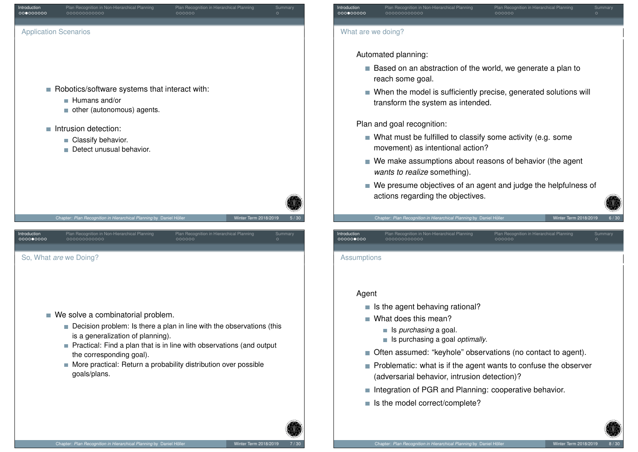<span id="page-1-0"></span>

# **Introduction** Plan Recognition in Non-Hierarchical Planning Plan Recognition in Hierarchical Planning Summary What are we doing?

Automated planning:

- Based on an abstraction of the world, we generate a plan to reach some goal.
- When the model is sufficiently precise, generated solutions will transform the system as intended.

Plan and goal recognition:

- What must be fulfilled to classify some activity (e.g. some movement) as intentional action?
- We make assumptions about reasons of behavior (the agent *wants to realize* something).

**Introduction** Plan Recognition in Non-Hierarchical Planning Plan Recognition in Hierarchical Planning Summary

■ We presume objectives of an agent and judge the helpfulness of actions regarding the objectives.

### Chapter: *Plan Recognition in Hierarchical Planning* by Daniel Höller <u>in Winter Term 2018/2019</u>

### **Assumptions**

## Agent

- $\blacksquare$  Is the agent behaving rational?
- What does this mean?
	- Is *purchasing* a goal.
	- Is purchasing a goal *optimally*.
- Often assumed: "keyhole" observations (no contact to agent).
- $\blacksquare$  Problematic: what is if the agent wants to confuse the observer (adversarial behavior, intrusion detection)?
- Integration of PGR and Planning: cooperative behavior.
- Is the model correct/complete?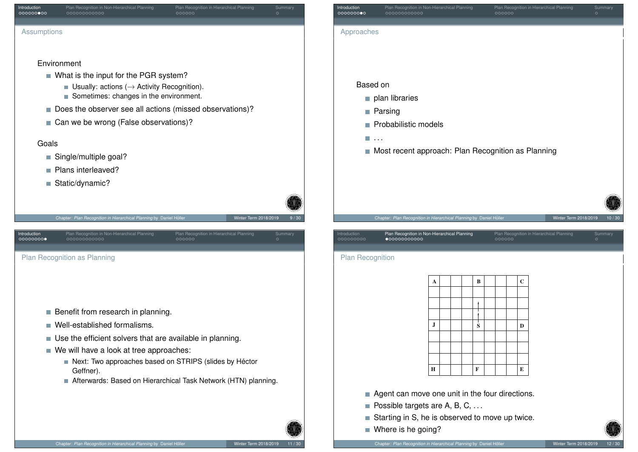<span id="page-2-0"></span>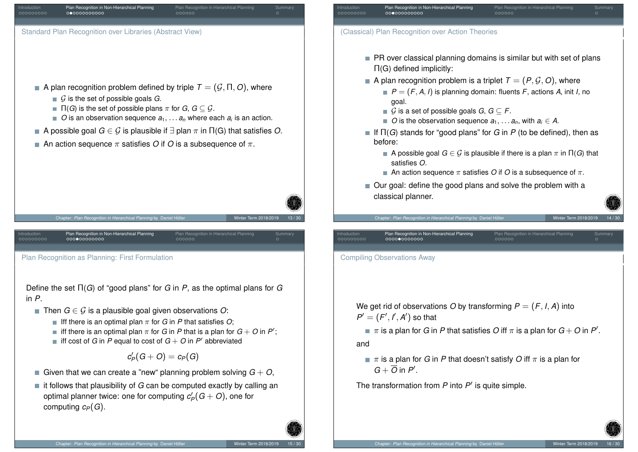<span id="page-3-0"></span>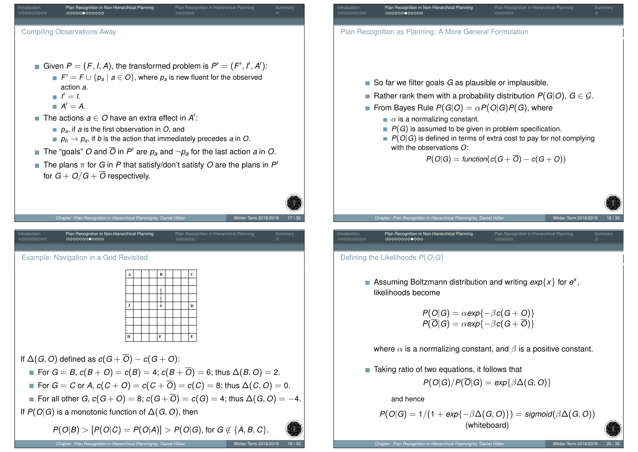<span id="page-4-0"></span>

- Plan Recognition as Planning: A More General Formulation ■ So far we filter goals *G* as plausible or implausible. Rather rank them with a probability distribution  $P(G|O)$ ,  $G \in \mathcal{G}$ , From Bayes Rule  $P(G|O) = \alpha P(O|G)P(G)$ , where  $P(G)$  is assumed to be given in problem specification.  $P(O|G)$  is defined in terms of extra cost to pay for not complying  $P(O|G) =$  *function* $(c(G + \overline{O}) - c(G + O))$ rion in Hierarchical Planning by Daniel Höll Introduction Plan Recognition in Non-Hierarchical Planning Plan Recognition in Hierarchical Planning Summary
	- Assuming Boltzmann distribution and writing  $exp{x}$  for  $e^{x}$ ,

 $P(O|G) = \alpha exp{-\beta c(G+O)}$  $P(\overline{O}|G) = \alpha exp{-\beta c(G + \overline{O})}$ 

where  $\alpha$  is a normalizing constant, and  $\beta$  is a positive constant.

 $\blacksquare$  Taking ratio of two equations, it follows that  $P(O|G)/P(\overline{O}|G) = exp{\{\beta \Delta(G, O)\}}$ 

$$
P(O|G) = 1/(1 + exp{-\beta \Delta(G, O)}) = sigmoid(\beta \Delta(G, O))
$$
  
(whiteboard)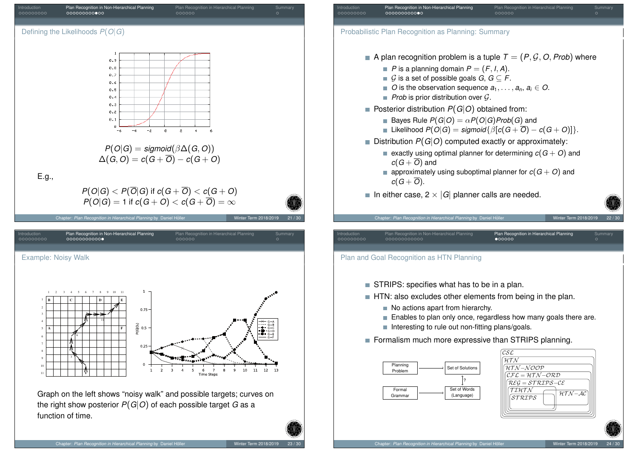



function of time.

<span id="page-5-0"></span>the right show posterior  $P(G|O)$  of each possible target *G* as a

(Language)

Grammar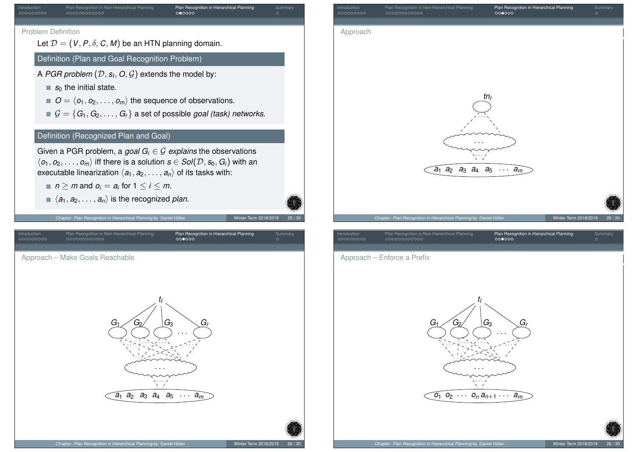<span id="page-6-0"></span>